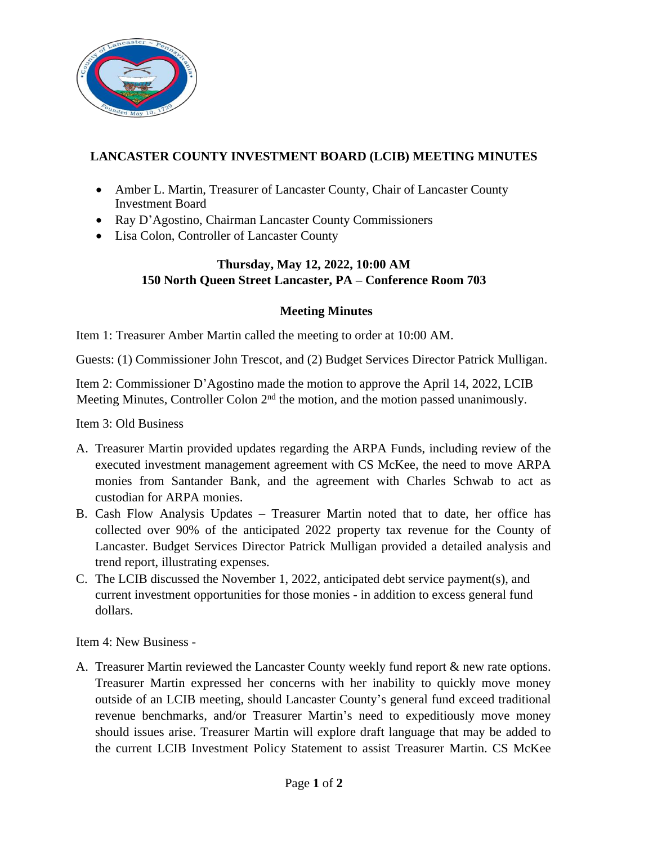

## **LANCASTER COUNTY INVESTMENT BOARD (LCIB) MEETING MINUTES**

- Amber L. Martin, Treasurer of Lancaster County, Chair of Lancaster County Investment Board
- Ray D'Agostino, Chairman Lancaster County Commissioners
- Lisa Colon, Controller of Lancaster County

## **Thursday, May 12, 2022, 10:00 AM 150 North Queen Street Lancaster, PA – Conference Room 703**

## **Meeting Minutes**

Item 1: Treasurer Amber Martin called the meeting to order at 10:00 AM.

Guests: (1) Commissioner John Trescot, and (2) Budget Services Director Patrick Mulligan.

Item 2: Commissioner D'Agostino made the motion to approve the April 14, 2022, LCIB Meeting Minutes, Controller Colon 2<sup>nd</sup> the motion, and the motion passed unanimously.

Item 3: Old Business

- A. Treasurer Martin provided updates regarding the ARPA Funds, including review of the executed investment management agreement with CS McKee, the need to move ARPA monies from Santander Bank, and the agreement with Charles Schwab to act as custodian for ARPA monies.
- B. Cash Flow Analysis Updates Treasurer Martin noted that to date, her office has collected over 90% of the anticipated 2022 property tax revenue for the County of Lancaster. Budget Services Director Patrick Mulligan provided a detailed analysis and trend report, illustrating expenses.
- C. The LCIB discussed the November 1, 2022, anticipated debt service payment(s), and current investment opportunities for those monies - in addition to excess general fund dollars.

Item 4: New Business -

A. Treasurer Martin reviewed the Lancaster County weekly fund report & new rate options. Treasurer Martin expressed her concerns with her inability to quickly move money outside of an LCIB meeting, should Lancaster County's general fund exceed traditional revenue benchmarks, and/or Treasurer Martin's need to expeditiously move money should issues arise. Treasurer Martin will explore draft language that may be added to the current LCIB Investment Policy Statement to assist Treasurer Martin. CS McKee